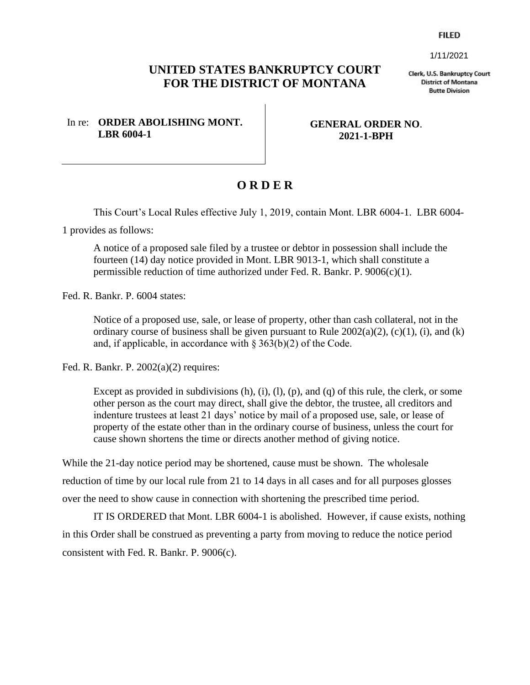**FILED** 

1/11/2021

## **UNITED STATES BANKRUPTCY COURT FOR THE DISTRICT OF MONTANA**

Clerk, U.S. Bankruptcy Court **District of Montana Butte Division** 

In re: **ORDER ABOLISHING MONT. LBR 6004-1**

**GENERAL ORDER NO**. **2021-1-BPH**

## **O R D E R**

This Court's Local Rules effective July 1, 2019, contain Mont. LBR 6004-1. LBR 6004-

1 provides as follows:

A notice of a proposed sale filed by a trustee or debtor in possession shall include the fourteen (14) day notice provided in Mont. LBR 9013-1, which shall constitute a permissible reduction of time authorized under Fed. R. Bankr. P. 9006(c)(1).

Fed. R. Bankr. P. 6004 states:

Notice of a proposed use, sale, or lease of property, other than cash collateral, not in the ordinary course of business shall be given pursuant to Rule  $2002(a)(2)$ ,  $(c)(1)$ ,  $(i)$ , and  $(k)$ and, if applicable, in accordance with  $\S 363(b)(2)$  of the Code.

Fed. R. Bankr. P. 2002(a)(2) requires:

Except as provided in subdivisions  $(h)$ ,  $(i)$ ,  $(l)$ ,  $(p)$ , and  $(q)$  of this rule, the clerk, or some other person as the court may direct, shall give the debtor, the trustee, all creditors and indenture trustees at least 21 days' notice by mail of a proposed use, sale, or lease of property of the estate other than in the ordinary course of business, unless the court for cause shown shortens the time or directs another method of giving notice.

While the 21-day notice period may be shortened, cause must be shown. The wholesale reduction of time by our local rule from 21 to 14 days in all cases and for all purposes glosses over the need to show cause in connection with shortening the prescribed time period.

IT IS ORDERED that Mont. LBR 6004-1 is abolished. However, if cause exists, nothing in this Order shall be construed as preventing a party from moving to reduce the notice period consistent with Fed. R. Bankr. P. 9006(c).